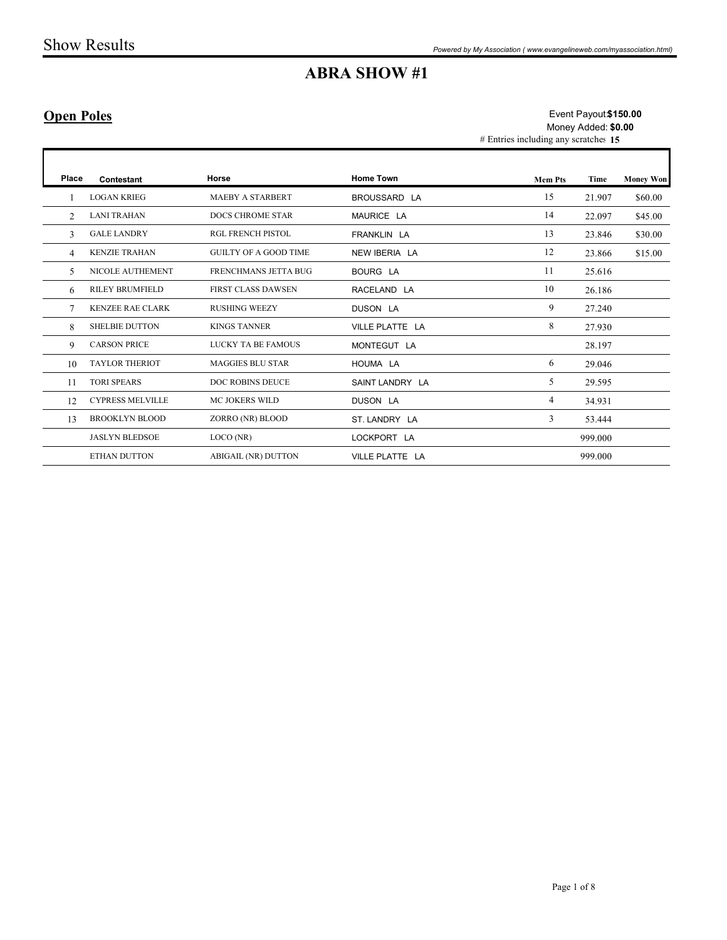### Open Poles

|                   | <b>Show Results</b>     |                              |                                                                                      | Powered by My Association (www.evangelineweb.com/myassociation.html) |         |                  |
|-------------------|-------------------------|------------------------------|--------------------------------------------------------------------------------------|----------------------------------------------------------------------|---------|------------------|
|                   |                         |                              | <b>ABRA SHOW #1</b>                                                                  |                                                                      |         |                  |
| <b>Open Poles</b> |                         |                              | Event Payout \$150.00<br>Money Added: \$0.00<br># Entries including any scratches 15 |                                                                      |         |                  |
| Place             | Contestant              | Horse                        | <b>Home Town</b>                                                                     | <b>Mem Pts</b>                                                       | Time    | <b>Money Won</b> |
| -1                | <b>LOGAN KRIEG</b>      | MAEBY A STARBERT             | BROUSSARD LA                                                                         | 15                                                                   | 21.907  | \$60.00          |
| 2                 | <b>LANI TRAHAN</b>      | <b>DOCS CHROME STAR</b>      | MAURICE LA                                                                           | 14                                                                   | 22.097  | \$45.00          |
| $\mathfrak{Z}$    | <b>GALE LANDRY</b>      | RGL FRENCH PISTOL            | FRANKLIN LA                                                                          | 13                                                                   | 23.846  | \$30.00          |
| $\overline{4}$    | <b>KENZIE TRAHAN</b>    | <b>GUILTY OF A GOOD TIME</b> | NEW IBERIA LA                                                                        | 12                                                                   | 23.866  | \$15.00          |
| 5                 | NICOLE AUTHEMENT        | FRENCHMANS JETTA BUG         | BOURG LA                                                                             | 11                                                                   | 25.616  |                  |
| 6                 | <b>RILEY BRUMFIELD</b>  | FIRST CLASS DAWSEN           | RACELAND LA                                                                          | 10                                                                   | 26.186  |                  |
| $7\phantom{.0}$   | <b>KENZEE RAE CLARK</b> | <b>RUSHING WEEZY</b>         | DUSON LA                                                                             | 9                                                                    | 27.240  |                  |
| 8                 | <b>SHELBIE DUTTON</b>   | <b>KINGS TANNER</b>          | VILLE PLATTE LA                                                                      | 8                                                                    | 27.930  |                  |
| 9                 | <b>CARSON PRICE</b>     | LUCKY TA BE FAMOUS           | MONTEGUT LA                                                                          |                                                                      | 28.197  |                  |
| 10                | <b>TAYLOR THERIOT</b>   | <b>MAGGIES BLU STAR</b>      | HOUMA LA                                                                             | 6                                                                    | 29.046  |                  |
| 11                | <b>TORI SPEARS</b>      | DOC ROBINS DEUCE             | SAINT LANDRY LA                                                                      | 5 <sup>5</sup>                                                       | 29.595  |                  |
| 12                | <b>CYPRESS MELVILLE</b> | MC JOKERS WILD               | DUSON LA                                                                             | $\overline{4}$                                                       | 34.931  |                  |
| 13                | <b>BROOKLYN BLOOD</b>   | ZORRO (NR) BLOOD             | ST. LANDRY LA                                                                        | $\mathbf{3}$                                                         | 53.444  |                  |
|                   | <b>JASLYN BLEDSOE</b>   | LOCO (NR)                    | LOCKPORT LA                                                                          |                                                                      | 999.000 |                  |
|                   | ETHAN DUTTON            | ABIGAIL (NR) DUTTON          | VILLE PLATTE LA                                                                      |                                                                      | 999.000 |                  |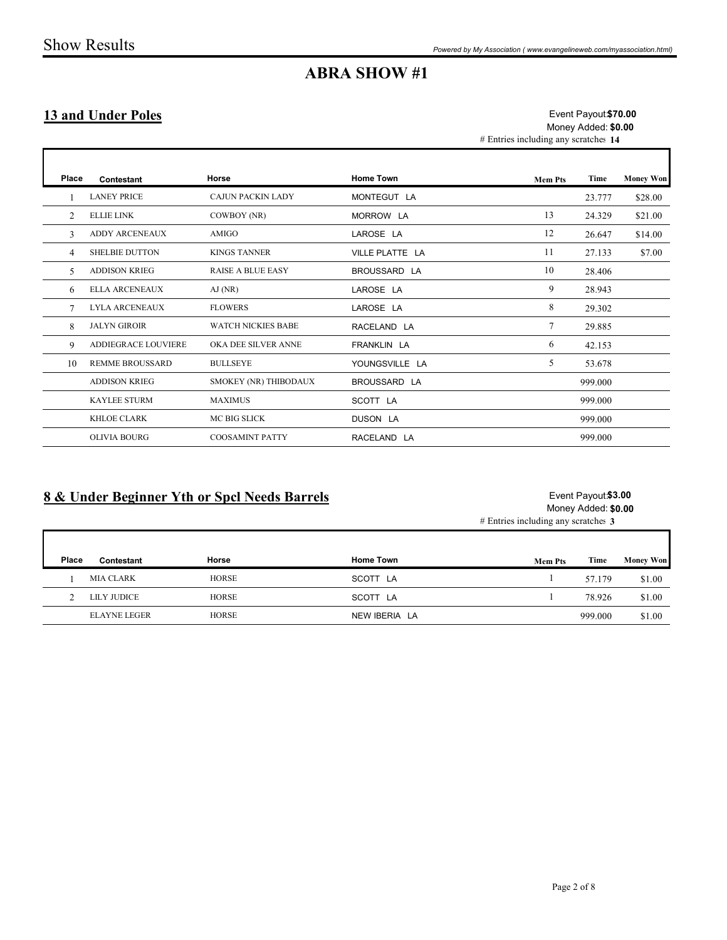#### 13 and Under Poles

|                           |                        |                                              | <b>ABRA SHOW #1</b> | Powered by My Association (www.evangelineweb.com/myassociation.html)                |                                            |                  |
|---------------------------|------------------------|----------------------------------------------|---------------------|-------------------------------------------------------------------------------------|--------------------------------------------|------------------|
| <b>13 and Under Poles</b> |                        |                                              |                     | Event Payout \$70.00<br>Money Added: \$0.00<br># Entries including any scratches 14 |                                            |                  |
| Place                     | Contestant             | Horse                                        | <b>Home Town</b>    | <b>Mem Pts</b>                                                                      | Time                                       | <b>Money Won</b> |
| -1                        | <b>LANEY PRICE</b>     | CAJUN PACKIN LADY                            | MONTEGUT LA         |                                                                                     | 23.777                                     | \$28.00          |
| $\overline{2}$            | <b>ELLIE LINK</b>      | COWBOY (NR)                                  | MORROW LA           | 13                                                                                  | 24.329                                     | \$21.00          |
| $\mathbf{3}$              | ADDY ARCENEAUX         | AMIGO                                        | LAROSE LA           | 12                                                                                  | 26.647                                     | \$14.00          |
| $\overline{4}$            | <b>SHELBIE DUTTON</b>  | <b>KINGS TANNER</b>                          | VILLE PLATTE LA     | 11                                                                                  | 27.133                                     | \$7.00           |
| 5                         | <b>ADDISON KRIEG</b>   | RAISE A BLUE EASY                            | BROUSSARD LA        | 10                                                                                  | 28.406                                     |                  |
| 6                         | ELLA ARCENEAUX         | AJ (NR)                                      | LAROSE LA           | 9                                                                                   | 28.943                                     |                  |
| $\tau$                    | LYLA ARCENEAUX         | <b>FLOWERS</b>                               | LAROSE LA           | $8\phantom{.0}$                                                                     | 29.302                                     |                  |
| 8                         | <b>JALYN GIROIR</b>    | WATCH NICKIES BABE                           | RACELAND LA         | $7\phantom{.0}$                                                                     | 29.885                                     |                  |
| 9                         | ADDIEGRACE LOUVIERE    | OKA DEE SILVER ANNE                          | FRANKLIN LA         | 6                                                                                   | 42.153                                     |                  |
| 10                        | <b>REMME BROUSSARD</b> | <b>BULLSEYE</b>                              | YOUNGSVILLE LA      | $5\overline{)}$                                                                     | 53.678                                     |                  |
|                           | <b>ADDISON KRIEG</b>   | SMOKEY (NR) THIBODAUX                        | BROUSSARD LA        |                                                                                     | 999.000                                    |                  |
|                           | KAYLEE STURM           | <b>MAXIMUS</b>                               | SCOTT LA            |                                                                                     | 999.000                                    |                  |
|                           | KHLOE CLARK            | MC BIG SLICK                                 | DUSON LA            |                                                                                     | 999.000                                    |                  |
|                           | OLIVIA BOURG           | COOSAMINT PATTY                              | RACELAND LA         |                                                                                     | 999.000                                    |                  |
|                           |                        | 8 & Under Beginner Yth or Spcl Needs Barrels |                     | # Entries including any scratches 3                                                 | Event Payout \$3.00<br>Money Added: \$0.00 |                  |
| Place                     | Contestant             | Horse                                        | <b>Home Town</b>    | <b>Mem Pts</b>                                                                      | Time                                       | <b>Money Won</b> |
| $\mathbf{1}$              | MIA CLARK              | ${\tt HORSE}$                                | SCOTT LA            | $\mathbf{1}$                                                                        | 57.179                                     | \$1.00           |
|                           | 2 LILY JUDICE          | <b>HORSE</b>                                 | SCOTT LA            | -1                                                                                  | 78.926                                     | \$1.00           |
|                           | <b>ELAYNE LEGER</b>    | HORSE                                        | NEW IBERIA LA       |                                                                                     | 999.000                                    | \$1.00           |

#### 8 & Under Beginner Yth or Spcl Needs Barrels

#### Event Payout \$3.00 Money Added: \$0.00

| Place | Contestant          | Horse        | <b>Home Town</b> | <b>Mem Pts</b> | Time    | <b>Money Won</b> |
|-------|---------------------|--------------|------------------|----------------|---------|------------------|
|       | <b>MIA CLARK</b>    | <b>HORSE</b> | SCOTT LA         |                | 57.179  | \$1.00           |
|       | LILY JUDICE         | <b>HORSE</b> | SCOTT LA         |                | 78.926  | \$1.00           |
|       | <b>ELAYNE LEGER</b> | <b>HORSE</b> | NEW IBERIA LA    |                | 999.000 | \$1.00           |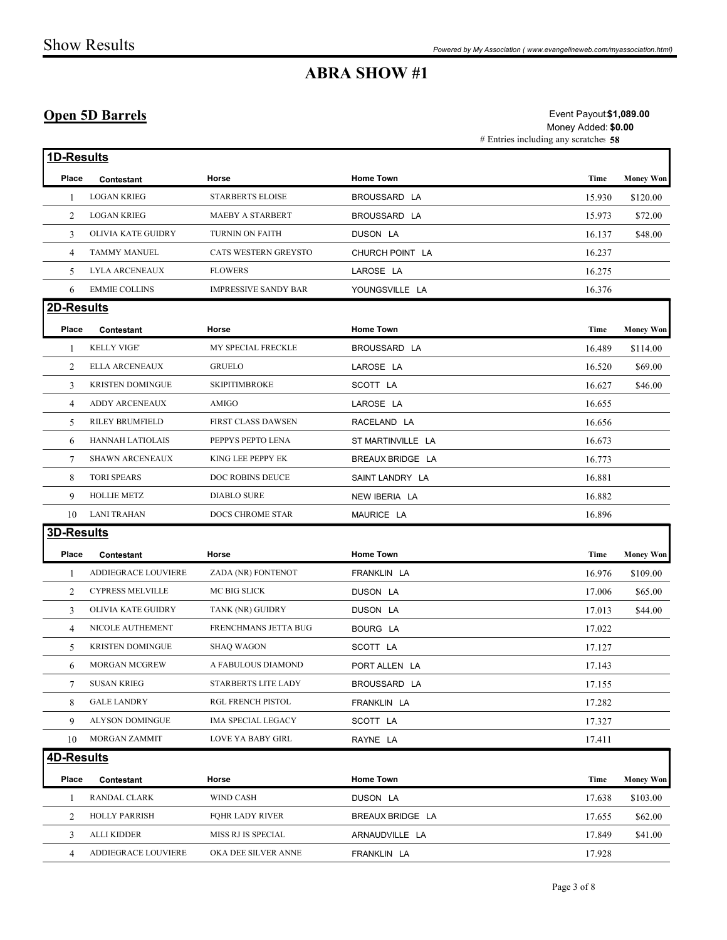### Open 5D Barrels

|                   |                         |                             | <b>ABRA SHOW #1</b> |                                                                                        |                  |
|-------------------|-------------------------|-----------------------------|---------------------|----------------------------------------------------------------------------------------|------------------|
|                   | <b>Open 5D Barrels</b>  |                             |                     | Event Payout \$1,089.00<br>Money Added: \$0.00<br># Entries including any scratches 58 |                  |
| 1D-Results        |                         |                             |                     |                                                                                        |                  |
| Place             | Contestant              | Horse                       | <b>Home Town</b>    | Time                                                                                   | <b>Money Won</b> |
|                   | <b>LOGAN KRIEG</b>      | <b>STARBERTS ELOISE</b>     | BROUSSARD LA        | 15.930                                                                                 | \$120.00         |
| 2                 | <b>LOGAN KRIEG</b>      | MAEBY A STARBERT            | BROUSSARD LA        | 15.973                                                                                 | \$72.00          |
| 3                 | OLIVIA KATE GUIDRY      | TURNIN ON FAITH             | DUSON LA            | 16.137                                                                                 | \$48.00          |
| $\overline{4}$    | <b>TAMMY MANUEL</b>     | CATS WESTERN GREYSTO        | CHURCH POINT LA     | 16.237                                                                                 |                  |
| 5                 | LYLA ARCENEAUX          | <b>FLOWERS</b>              | LAROSE LA           | 16.275                                                                                 |                  |
| 6                 | <b>EMMIE COLLINS</b>    | <b>IMPRESSIVE SANDY BAR</b> | YOUNGSVILLE LA      | 16.376                                                                                 |                  |
| 2D-Results        |                         |                             |                     |                                                                                        |                  |
| Place             | Contestant              | Horse                       | Home Town           | Time                                                                                   | <b>Money Won</b> |
|                   | <b>KELLY VIGE'</b>      | MY SPECIAL FRECKLE          | BROUSSARD LA        | 16.489                                                                                 | \$114.00         |
| 2                 | ELLA ARCENEAUX          | <b>GRUELO</b>               | LAROSE LA           | 16.520                                                                                 | \$69.00          |
| 3                 | <b>KRISTEN DOMINGUE</b> | <b>SKIPITIMBROKE</b>        | SCOTT LA            | 16.627                                                                                 | \$46.00          |
| 4                 | ADDY ARCENEAUX          | AMIGO                       | LAROSE LA           | 16.655                                                                                 |                  |
|                   | 5 RILEY BRUMFIELD       | FIRST CLASS DAWSEN          | RACELAND LA         | 16.656                                                                                 |                  |
|                   | 6 HANNAH LATIOLAIS      | PEPPYS PEPTO LENA           | ST MARTINVILLE LA   | 16.673                                                                                 |                  |
| 7                 | SHAWN ARCENEAUX         | KING LEE PEPPY EK           | BREAUX BRIDGE LA    | 16.773                                                                                 |                  |
| 8                 | <b>TORI SPEARS</b>      | DOC ROBINS DEUCE            | SAINT LANDRY LA     | 16.881                                                                                 |                  |
| 9                 | HOLLIE METZ             | DIABLO SURE                 | NEW IBERIA LA       | 16.882                                                                                 |                  |
|                   | 10 LANI TRAHAN          | DOCS CHROME STAR            | MAURICE LA          | 16.896                                                                                 |                  |
| <b>3D-Results</b> |                         |                             |                     |                                                                                        |                  |
| Place             | Contestant              | Horse                       | Home Town           | Time                                                                                   | <b>Money Won</b> |
| -1                | ADDIEGRACE LOUVIERE     | ZADA (NR) FONTENOT          | FRANKLIN LA         | 16.976                                                                                 | \$109.00         |
| 2                 | CYPRESS MELVILLE        | MC BIG SLICK                | DUSON LA            | 17.006                                                                                 | \$65.00          |
| $\overline{3}$    | OLIVIA KATE GUIDRY      | TANK (NR) GUIDRY            | DUSON LA            | 17.013                                                                                 | \$44.00          |
| 4                 | NICOLE AUTHEMENT        | FRENCHMANS JETTA BUG        | BOURG LA            | 17.022                                                                                 |                  |
| 5                 | <b>KRISTEN DOMINGUE</b> | <b>SHAQ WAGON</b>           | SCOTT LA            | 17.127                                                                                 |                  |
| 6                 | MORGAN MCGREW           | A FABULOUS DIAMOND          | PORT ALLEN LA       | 17.143                                                                                 |                  |
| $7\overline{ }$   | <b>SUSAN KRIEG</b>      | STARBERTS LITE LADY         | BROUSSARD LA        | 17.155                                                                                 |                  |
| 8                 | <b>GALE LANDRY</b>      | RGL FRENCH PISTOL           | FRANKLIN LA         | 17.282                                                                                 |                  |
| 9                 | ALYSON DOMINGUE         | IMA SPECIAL LEGACY          | SCOTT LA            | 17.327                                                                                 |                  |
|                   | 10 MORGAN ZAMMIT        | LOVE YA BABY GIRL           | RAYNE LA            | 17.411                                                                                 |                  |
| 4D-Results        |                         |                             |                     |                                                                                        |                  |
| Place             | Contestant              | Horse                       | Home Town           | Time                                                                                   | <b>Money Won</b> |
| -1                | RANDAL CLARK            | WIND CASH                   | DUSON LA            | 17.638                                                                                 | \$103.00         |
|                   | HOLLY PARRISH           | FQHR LADY RIVER             | BREAUX BRIDGE LA    | 17.655                                                                                 | \$62.00          |
| 2                 |                         |                             |                     |                                                                                        |                  |
| 3                 | ALLI KIDDER             | MISS RJ IS SPECIAL          | ARNAUDVILLE LA      | 17.849                                                                                 | \$41.00          |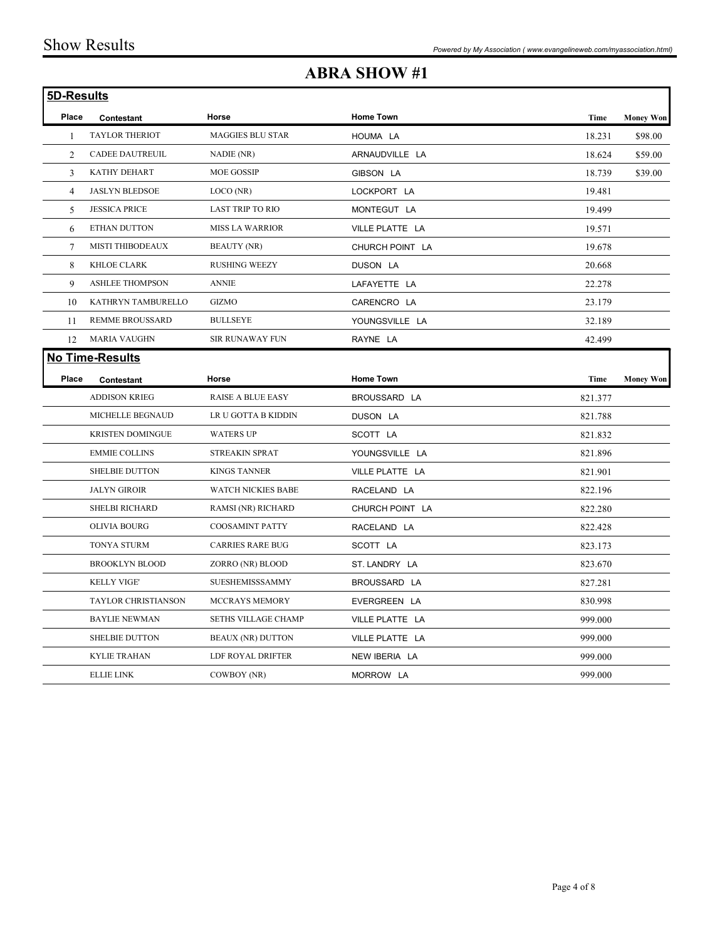## ABRA SHOW #1

|            |                         |                          | <b>ABRA SHOW #1</b> |         |                  |
|------------|-------------------------|--------------------------|---------------------|---------|------------------|
| 5D-Results |                         |                          |                     |         |                  |
| Place      | Contestant              | Horse                    | <b>Home Town</b>    | Time    | <b>Money Won</b> |
|            | <b>TAYLOR THERIOT</b>   | <b>MAGGIES BLU STAR</b>  | HOUMA LA            | 18.231  | \$98.00          |
| 2          | <b>CADEE DAUTREUIL</b>  | NADIE (NR)               | ARNAUDVILLE LA      | 18.624  | \$59.00          |
| 3          | KATHY DEHART            | MOE GOSSIP               | GIBSON LA           | 18.739  | \$39.00          |
| 4          | JASLYN BLEDSOE          | LOCO (NR)                | LOCKPORT LA         | 19.481  |                  |
| 5          | <b>JESSICA PRICE</b>    | LAST TRIP TO RIO         | MONTEGUT LA         | 19.499  |                  |
| 6          | ETHAN DUTTON            | MISS LA WARRIOR          | VILLE PLATTE LA     | 19.571  |                  |
| 7          | MISTI THIBODEAUX        | <b>BEAUTY (NR)</b>       | CHURCH POINT LA     | 19.678  |                  |
| 8          | KHLOE CLARK             | <b>RUSHING WEEZY</b>     | DUSON LA            | 20.668  |                  |
| 9          | <b>ASHLEE THOMPSON</b>  | <b>ANNIE</b>             | LAFAYETTE LA        | 22.278  |                  |
| 10         | KATHRYN TAMBURELLO      | GIZMO                    | CARENCRO LA         | 23.179  |                  |
| 11         | <b>REMME BROUSSARD</b>  | <b>BULLSEYE</b>          | YOUNGSVILLE LA      | 32.189  |                  |
|            | 12 MARIA VAUGHN         | SIR RUNAWAY FUN          | RAYNE LA            | 42.499  |                  |
|            | No Time-Results         |                          |                     |         |                  |
| Place      | Contestant              | Horse                    | Home Town           | Time    | <b>Money Won</b> |
|            | ADDISON KRIEG           | <b>RAISE A BLUE EASY</b> | BROUSSARD LA        | 821.377 |                  |
|            | MICHELLE BEGNAUD        | LR U GOTTA B KIDDIN      | DUSON LA            | 821.788 |                  |
|            | <b>KRISTEN DOMINGUE</b> | WATERS UP                | SCOTT LA            | 821.832 |                  |
|            | <b>EMMIE COLLINS</b>    | STREAKIN SPRAT           | YOUNGSVILLE LA      | 821.896 |                  |
|            | SHELBIE DUTTON          | <b>KINGS TANNER</b>      | VILLE PLATTE LA     | 821.901 |                  |
|            | <b>JALYN GIROIR</b>     | WATCH NICKIES BABE       | RACELAND LA         | 822.196 |                  |
|            | <b>SHELBI RICHARD</b>   | RAMSI (NR) RICHARD       | CHURCH POINT LA     | 822.280 |                  |
|            | OLIVIA BOURG            | COOSAMINT PATTY          | RACELAND LA         | 822.428 |                  |
|            | TONYA STURM             | <b>CARRIES RARE BUG</b>  | SCOTT LA            | 823.173 |                  |
|            | <b>BROOKLYN BLOOD</b>   | ZORRO (NR) BLOOD         | ST. LANDRY LA       | 823.670 |                  |
|            | KELLY VIGE'             | SUESHEMISSSAMMY          | BROUSSARD LA        | 827.281 |                  |
|            | TAYLOR CHRISTIANSON     | MCCRAYS MEMORY           | EVERGREEN LA        | 830.998 |                  |
|            | <b>BAYLIE NEWMAN</b>    | SETHS VILLAGE CHAMP      | VILLE PLATTE LA     | 999.000 |                  |
|            | <b>SHELBIE DUTTON</b>   | <b>BEAUX (NR) DUTTON</b> | VILLE PLATTE LA     | 999.000 |                  |
|            | KYLIE TRAHAN            | LDF ROYAL DRIFTER        | NEW IBERIA LA       | 999.000 |                  |
|            |                         |                          |                     | 999.000 |                  |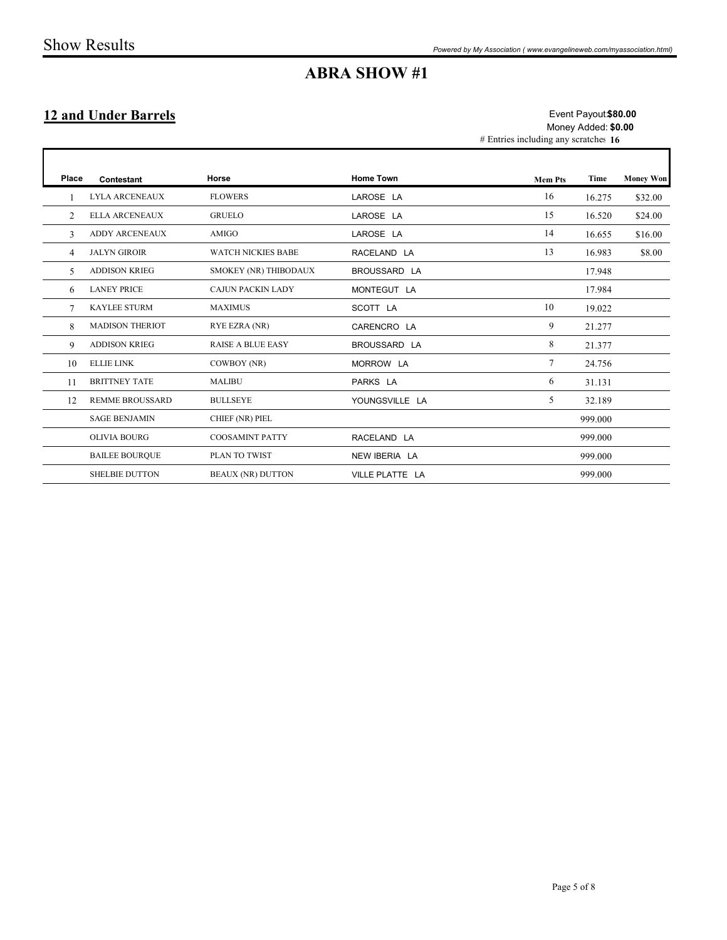### 12 and Under Barrels

|                 | <b>Show Results</b>         |                           |                     | Powered by My Association (www.evangelineweb.com/myassociation.html) |                                             |                  |
|-----------------|-----------------------------|---------------------------|---------------------|----------------------------------------------------------------------|---------------------------------------------|------------------|
|                 |                             |                           | <b>ABRA SHOW #1</b> |                                                                      |                                             |                  |
|                 | <b>12 and Under Barrels</b> |                           |                     | # Entries including any scratches 16                                 | Event Payout \$80.00<br>Money Added: \$0.00 |                  |
| Place           | Contestant                  | Horse                     | <b>Home Town</b>    | <b>Mem Pts</b>                                                       | Time                                        | <b>Money Won</b> |
| $\mathbf{1}$    | LYLA ARCENEAUX              | <b>FLOWERS</b>            | LAROSE LA           | 16                                                                   | 16.275                                      | \$32.00          |
| $\overline{2}$  | ELLA ARCENEAUX              | <b>GRUELO</b>             | LAROSE LA           | 15                                                                   | 16.520                                      | \$24.00          |
| $\mathbf{3}$    | ADDY ARCENEAUX              | AMIGO                     | LAROSE LA           | 14                                                                   | 16.655                                      | \$16.00          |
| $\overline{4}$  | <b>JALYN GIROIR</b>         | <b>WATCH NICKIES BABE</b> | RACELAND LA         | 13                                                                   | 16.983                                      | \$8.00           |
| 5 <sup>5</sup>  | <b>ADDISON KRIEG</b>        | SMOKEY (NR) THIBODAUX     | BROUSSARD LA        |                                                                      | 17.948                                      |                  |
| 6               | <b>LANEY PRICE</b>          | CAJUN PACKIN LADY         | MONTEGUT LA         |                                                                      | 17.984                                      |                  |
| $7\phantom{.0}$ | KAYLEE STURM                | <b>MAXIMUS</b>            | SCOTT LA            | $10\,$                                                               | 19.022                                      |                  |
| 8               | MADISON THERIOT             | RYE EZRA (NR)             | CARENCRO LA         | 9                                                                    | 21.277                                      |                  |
| 9               | <b>ADDISON KRIEG</b>        | RAISE A BLUE EASY         | BROUSSARD LA        | 8                                                                    | 21.377                                      |                  |
| 10              | <b>ELLIE LINK</b>           | COWBOY (NR)               | MORROW LA           | $7\phantom{.0}$                                                      | 24.756                                      |                  |
| 11              | <b>BRITTNEY TATE</b>        | <b>MALIBU</b>             | PARKS LA            | 6                                                                    | 31.131                                      |                  |
| 12              | <b>REMME BROUSSARD</b>      | <b>BULLSEYE</b>           | YOUNGSVILLE LA      | $5\overline{)}$                                                      | 32.189                                      |                  |
|                 | <b>SAGE BENJAMIN</b>        | CHIEF (NR) PIEL           |                     |                                                                      | 999.000                                     |                  |
|                 | OLIVIA BOURG                | <b>COOSAMINT PATTY</b>    | RACELAND LA         |                                                                      | 999.000                                     |                  |
|                 | <b>BAILEE BOURQUE</b>       | PLAN TO TWIST             | NEW IBERIA LA       |                                                                      | 999.000                                     |                  |
|                 | SHELBIE DUTTON              | <b>BEAUX (NR) DUTTON</b>  | VILLE PLATTE LA     |                                                                      | 999.000                                     |                  |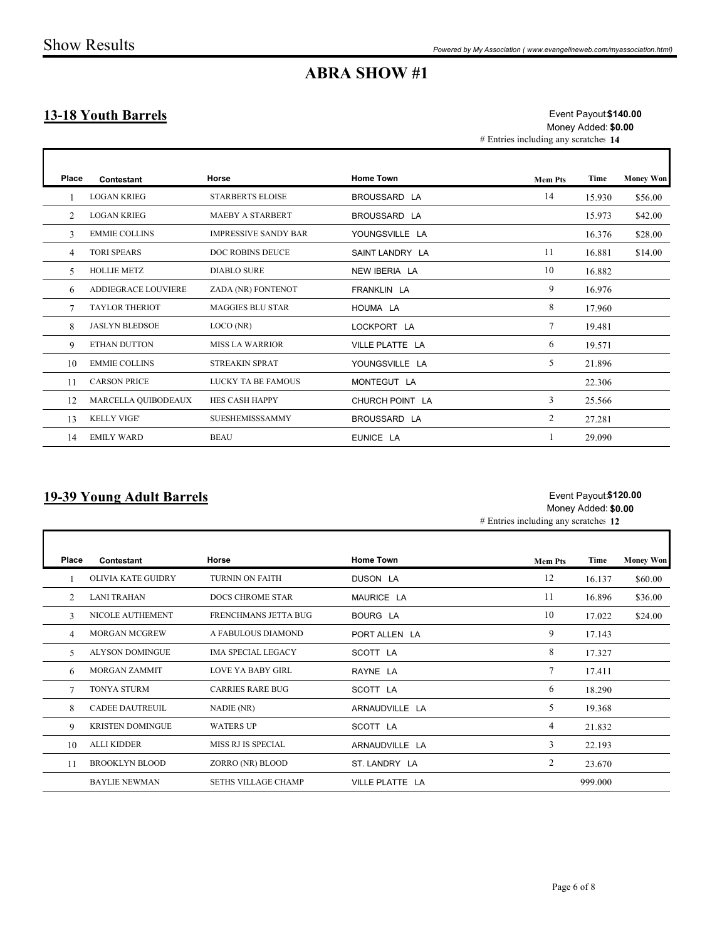#### 13-18 Youth Barrels

|                            |                       |                             | <b>ABRA SHOW #1</b> |                                                                                      |        |                  |
|----------------------------|-----------------------|-----------------------------|---------------------|--------------------------------------------------------------------------------------|--------|------------------|
| <b>13-18 Youth Barrels</b> |                       |                             |                     | Event Payout \$140.00<br>Money Added: \$0.00<br># Entries including any scratches 14 |        |                  |
| Place                      | Contestant            | Horse                       | <b>Home Town</b>    | <b>Mem Pts</b>                                                                       | Time   | <b>Money Won</b> |
|                            | <b>LOGAN KRIEG</b>    | <b>STARBERTS ELOISE</b>     | BROUSSARD LA        | 14                                                                                   | 15.930 | \$56.00          |
| 2                          | <b>LOGAN KRIEG</b>    | MAEBY A STARBERT            | BROUSSARD LA        |                                                                                      | 15.973 | \$42.00          |
| 3                          | <b>EMMIE COLLINS</b>  | <b>IMPRESSIVE SANDY BAR</b> | YOUNGSVILLE LA      |                                                                                      | 16.376 | \$28.00          |
| $\overline{4}$             | <b>TORI SPEARS</b>    | DOC ROBINS DEUCE            | SAINT LANDRY LA     | -11                                                                                  | 16.881 | \$14.00          |
| 5                          | <b>HOLLIE METZ</b>    | <b>DIABLO SURE</b>          | NEW IBERIA LA       | 10                                                                                   | 16.882 |                  |
| 6                          | ADDIEGRACE LOUVIERE   | ZADA (NR) FONTENOT          | FRANKLIN LA         | 9                                                                                    | 16.976 |                  |
| 7                          | <b>TAYLOR THERIOT</b> | MAGGIES BLU STAR            | HOUMA LA            | 8                                                                                    | 17.960 |                  |
| 8                          | JASLYN BLEDSOE        | LOCO(NR)                    | LOCKPORT LA         | $7\phantom{.0}$                                                                      | 19.481 |                  |
| 9                          | ETHAN DUTTON          | <b>MISS LA WARRIOR</b>      | VILLE PLATTE LA     | 6                                                                                    | 19.571 |                  |
| 10                         | <b>EMMIE COLLINS</b>  | <b>STREAKIN SPRAT</b>       | YOUNGSVILLE LA      | 5                                                                                    | 21.896 |                  |
| 11                         | <b>CARSON PRICE</b>   | LUCKY TA BE FAMOUS          | MONTEGUT LA         |                                                                                      | 22.306 |                  |
| 12                         | MARCELLA QUIBODEAUX   | HES CASH HAPPY              | CHURCH POINT LA     | $\mathbf{3}$                                                                         | 25.566 |                  |
|                            | 13 KELLY VIGE'        | SUESHEMISSSAMMY             | BROUSSARD LA        | 2                                                                                    | 27.281 |                  |
|                            | 14 EMILY WARD         | <b>BEAU</b>                 | EUNICE LA           | -1                                                                                   | 29.090 |                  |

#### 19-39 Young Adult Barrels

#### Event Payout**\$120.00** Money Added: \$0.00

|                | TAYLOR THERIOT          | MAGGIES BLU STAR          | HOUMA LA         | $\delta$                             | 17.960  |                  |
|----------------|-------------------------|---------------------------|------------------|--------------------------------------|---------|------------------|
| 8              | <b>JASLYN BLEDSOE</b>   | LOCO(NR)                  | LOCKPORT LA      | $\tau$                               | 19.481  |                  |
| 9              | ETHAN DUTTON            | <b>MISS LA WARRIOR</b>    | VILLE PLATTE LA  | 6                                    | 19.571  |                  |
| 10             | <b>EMMIE COLLINS</b>    | STREAKIN SPRAT            | YOUNGSVILLE LA   | 5                                    | 21.896  |                  |
| 11             | <b>CARSON PRICE</b>     | LUCKY TA BE FAMOUS        | MONTEGUT LA      |                                      | 22.306  |                  |
|                | 12 MARCELLA QUIBODEAUX  | HES CASH HAPPY            | CHURCH POINT LA  | $\mathfrak{Z}$                       | 25.566  |                  |
|                | 13 KELLY VIGE'          | SUESHEMISSSAMMY           | BROUSSARD LA     | $\overline{2}$                       | 27.281  |                  |
| 14             | <b>EMILY WARD</b>       | <b>BEAU</b>               | EUNICE LA        | 1                                    | 29.090  |                  |
|                |                         |                           |                  | # Entries including any scratches 12 |         |                  |
|                |                         |                           |                  |                                      |         |                  |
| Place          | Contestant              | Horse                     | <b>Home Town</b> | <b>Mem Pts</b>                       | Time    | <b>Money Won</b> |
| 1              | OLIVIA KATE GUIDRY      | TURNIN ON FAITH           | DUSON LA         | 12                                   | 16.137  | \$60.00          |
| 2              | <b>LANI TRAHAN</b>      | <b>DOCS CHROME STAR</b>   | MAURICE LA       | 11                                   | 16.896  | \$36.00          |
| 3              | NICOLE AUTHEMENT        | FRENCHMANS JETTA BUG      | BOURG LA         | 10                                   | 17.022  | \$24.00          |
| $\overline{4}$ | <b>MORGAN MCGREW</b>    | A FABULOUS DIAMOND        | PORT ALLEN LA    | 9                                    | 17.143  |                  |
| 5              | <b>ALYSON DOMINGUE</b>  | <b>IMA SPECIAL LEGACY</b> | SCOTT LA         | 8                                    | 17.327  |                  |
| 6              | MORGAN ZAMMIT           | LOVE YA BABY GIRL         | RAYNE LA         | $7\overline{ }$                      | 17.411  |                  |
| 7              | TONYA STURM             | <b>CARRIES RARE BUG</b>   | SCOTT LA         | 6                                    | 18.290  |                  |
| 8              | <b>CADEE DAUTREUIL</b>  | NADIE (NR)                | ARNAUDVILLE LA   | 5                                    | 19.368  |                  |
| 9              | <b>KRISTEN DOMINGUE</b> | <b>WATERS UP</b>          | SCOTT LA         | $\overline{4}$                       | 21.832  |                  |
| 10             | <b>ALLI KIDDER</b>      | MISS RJ IS SPECIAL        | ARNAUDVILLE LA   | $\mathfrak{Z}$                       | 22.193  |                  |
| 11             | <b>BROOKLYN BLOOD</b>   | ZORRO (NR) BLOOD          | ST. LANDRY LA    | $\overline{2}$                       | 23.670  |                  |
|                | <b>BAYLIE NEWMAN</b>    | SETHS VILLAGE CHAMP       | VILLE PLATTE LA  |                                      | 999.000 |                  |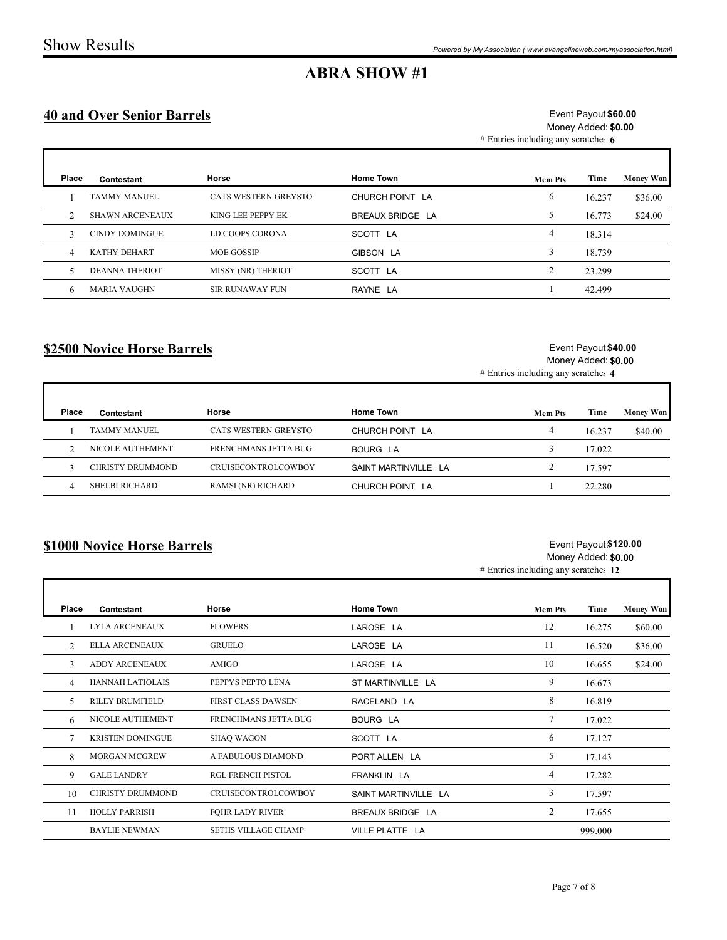Г

## ABRA SHOW #1

#### 40 and Over Senior Barrels

|                | <b>Show Results</b>               |                                                                                    |                      | Powered by My Association (www.evangelineweb.com/myassociation.html) |                                             |                  |
|----------------|-----------------------------------|------------------------------------------------------------------------------------|----------------------|----------------------------------------------------------------------|---------------------------------------------|------------------|
|                |                                   |                                                                                    | <b>ABRA SHOW #1</b>  |                                                                      |                                             |                  |
|                | <b>40 and Over Senior Barrels</b> | Event Payout \$60.00<br>Money Added: \$0.00<br># Entries including any scratches 6 |                      |                                                                      |                                             |                  |
| Place          | Contestant                        | Horse                                                                              | Home Town            | <b>Mem Pts</b>                                                       | Time                                        | <b>Money Won</b> |
| -1             | <b>TAMMY MANUEL</b>               | CATS WESTERN GREYSTO                                                               | CHURCH POINT LA      | 6                                                                    | 16.237                                      | \$36.00          |
| 2              | <b>SHAWN ARCENEAUX</b>            | KING LEE PEPPY EK                                                                  | BREAUX BRIDGE LA     | 5                                                                    | 16.773                                      | \$24.00          |
| $\mathbf{3}$   | <b>CINDY DOMINGUE</b>             | LD COOPS CORONA                                                                    | SCOTT LA             | $\overline{4}$                                                       | 18.314                                      |                  |
| $\overline{4}$ | KATHY DEHART                      | MOE GOSSIP                                                                         | GIBSON LA            | $\mathbf{3}$                                                         | 18.739                                      |                  |
| 5              | <b>DEANNA THERIOT</b>             | MISSY (NR) THERIOT                                                                 | SCOTT LA             | $\overline{c}$                                                       | 23.299                                      |                  |
| 6              | <b>MARIA VAUGHN</b>               | SIR RUNAWAY FUN                                                                    | RAYNE LA             | $\mathbf{1}$                                                         | 42.499                                      |                  |
|                | \$2500 Novice Horse Barrels       |                                                                                    |                      | # Entries including any scratches 4                                  | Event Payout \$40.00<br>Money Added: \$0.00 |                  |
| Place          | Contestant                        | Horse                                                                              | <b>Home Town</b>     | <b>Mem Pts</b>                                                       | <b>Time</b>                                 | <b>Money Won</b> |
| -1             | <b>TAMMY MANUEL</b>               | CATS WESTERN GREYSTO                                                               | CHURCH POINT LA      | $\overline{4}$                                                       | 16.237                                      | \$40.00          |
| 2              | NICOLE AUTHEMENT                  | FRENCHMANS JETTA BUG                                                               | <b>BOURG LA</b>      | $\mathfrak{Z}$                                                       | 17.022                                      |                  |
| $\overline{3}$ | CHRISTY DRUMMOND                  | CRUISECONTROLCOWBOY                                                                | SAINT MARTINVILLE LA | $\overline{2}$                                                       | 17.597                                      |                  |
| $\overline{4}$ | SHELBI RICHARD                    | RAMSI (NR) RICHARD                                                                 | CHURCH POINT LA      | $\mathbf{1}$                                                         | 22.280                                      |                  |

#### \$2500 Novice Horse Barrels

#### Event Payout \$40.00 Money Added: \$0.00

| Place | Contestant       | Horse                      | <b>Home Town</b>     | <b>Mem Pts</b> | Time   | <b>Money Won</b> |
|-------|------------------|----------------------------|----------------------|----------------|--------|------------------|
|       | TAMMY MANUEL     | CATS WESTERN GREYSTO       | CHURCH POINT LA      |                | 16.237 | \$40.00          |
|       | NICOLE AUTHEMENT | FRENCHMANS JETTA BUG       | BOURG LA             |                | 17.022 |                  |
|       | CHRISTY DRUMMOND | <b>CRUISECONTROLCOWBOY</b> | SAINT MARTINVILLE LA |                | 17.597 |                  |
|       | SHELBI RICHARD   | RAMSI (NR) RICHARD         | CHURCH POINT LA      |                | 22.280 |                  |

#### \$1000 Novice Horse Barrels

#### Event Payout**\$120.00** Money Added: \$0.00

| \$2500 Novice Horse Barrels |                         |                           |                      | Event Payout \$40.00<br>Money Added: \$0.00<br># Entries including any scratches 4 |        |                  |  |
|-----------------------------|-------------------------|---------------------------|----------------------|------------------------------------------------------------------------------------|--------|------------------|--|
| Place                       | Contestant              | Horse                     | <b>Home Town</b>     | <b>Mem Pts</b>                                                                     | Time   | <b>Money Won</b> |  |
|                             | <b>TAMMY MANUEL</b>     | CATS WESTERN GREYSTO      | CHURCH POINT LA      | $\overline{4}$                                                                     | 16.237 | \$40.00          |  |
| 2                           | NICOLE AUTHEMENT        | FRENCHMANS JETTA BUG      | BOURG LA             | $\mathfrak{Z}$                                                                     | 17.022 |                  |  |
| 3                           | CHRISTY DRUMMOND        | CRUISECONTROLCOWBOY       | SAINT MARTINVILLE LA | $\overline{2}$                                                                     | 17.597 |                  |  |
| $\overline{4}$              | <b>SHELBI RICHARD</b>   | <b>RAMSI (NR) RICHARD</b> | CHURCH POINT LA      | $\mathbf{1}$                                                                       | 22.280 |                  |  |
|                             |                         |                           |                      | $#$ Entries including any scratches 12                                             |        |                  |  |
| Place                       | Contestant              | Horse                     | <b>Home Town</b>     | <b>Mem Pts</b>                                                                     | Time   | <b>Money Won</b> |  |
|                             | <b>LYLA ARCENEAUX</b>   | <b>FLOWERS</b>            | LAROSE LA            | 12                                                                                 | 16.275 | \$60.00          |  |
| 2                           | <b>ELLA ARCENEAUX</b>   | <b>GRUELO</b>             | LAROSE LA            | 11                                                                                 | 16.520 | \$36.00          |  |
| 3                           | ADDY ARCENEAUX          | AMIGO                     | LAROSE LA            | 10                                                                                 | 16.655 | \$24.00          |  |
| $\overline{4}$              | <b>HANNAH LATIOLAIS</b> | PEPPYS PEPTO LENA         | ST MARTINVILLE LA    | 9                                                                                  | 16.673 |                  |  |
| 5                           | <b>RILEY BRUMFIELD</b>  | FIRST CLASS DAWSEN        | RACELAND LA          | 8                                                                                  | 16.819 |                  |  |
| 6                           | NICOLE AUTHEMENT        | FRENCHMANS JETTA BUG      | <b>BOURG LA</b>      | $7\phantom{.0}$                                                                    | 17.022 |                  |  |
| $7\phantom{.0}$             | <b>KRISTEN DOMINGUE</b> | <b>SHAQ WAGON</b>         | SCOTT LA             | 6                                                                                  | 17.127 |                  |  |
| 8                           | <b>MORGAN MCGREW</b>    | A FABULOUS DIAMOND        | PORT ALLEN LA        | 5 <sup>5</sup>                                                                     | 17.143 |                  |  |
| 9                           | <b>GALE LANDRY</b>      | <b>RGL FRENCH PISTOL</b>  | FRANKLIN LA          | $\overline{4}$                                                                     | 17.282 |                  |  |
| 10                          | <b>CHRISTY DRUMMOND</b> | CRUISECONTROLCOWBOY       | SAINT MARTINVILLE LA | $\overline{3}$                                                                     | 17.597 |                  |  |
| 11                          | <b>HOLLY PARRISH</b>    | <b>FOHR LADY RIVER</b>    | BREAUX BRIDGE LA     | $\overline{2}$                                                                     | 17.655 |                  |  |